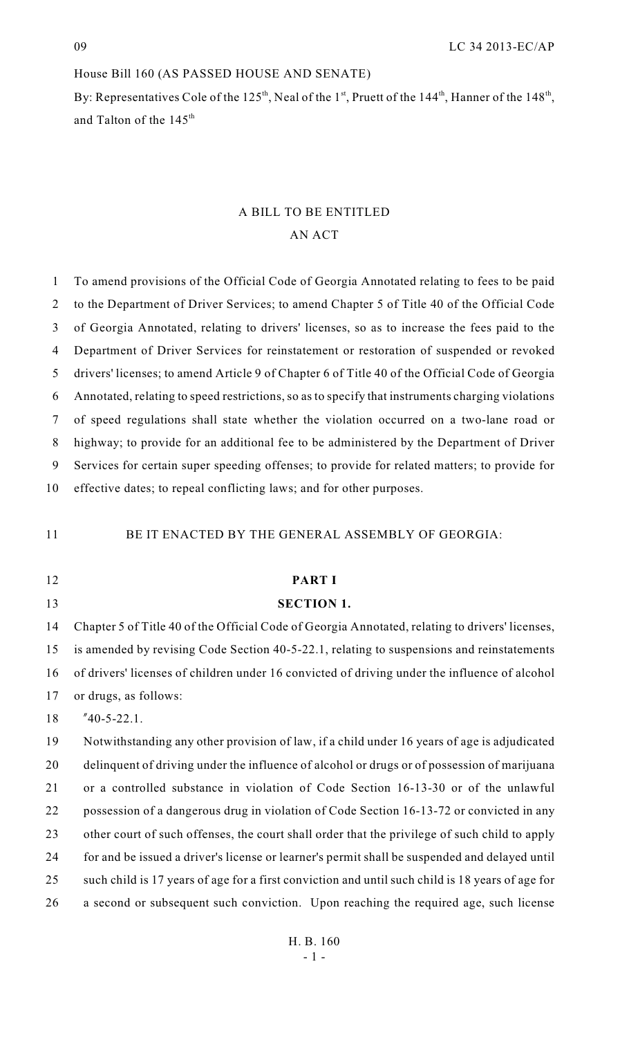# House Bill 160 (AS PASSED HOUSE AND SENATE)

By: Representatives Cole of the 125<sup>th</sup>, Neal of the 1<sup>st</sup>, Pruett of the 144<sup>th</sup>, Hanner of the 148<sup>th</sup>, and Talton of the  $145<sup>th</sup>$ 

# A BILL TO BE ENTITLED AN ACT

| $\mathbf{1}$   | To amend provisions of the Official Code of Georgia Annotated relating to fees to be paid        |
|----------------|--------------------------------------------------------------------------------------------------|
| $\overline{2}$ | to the Department of Driver Services; to amend Chapter 5 of Title 40 of the Official Code        |
| $\mathfrak{Z}$ | of Georgia Annotated, relating to drivers' licenses, so as to increase the fees paid to the      |
| 4              | Department of Driver Services for reinstatement or restoration of suspended or revoked           |
| 5              | drivers' licenses; to amend Article 9 of Chapter 6 of Title 40 of the Official Code of Georgia   |
| 6              | Annotated, relating to speed restrictions, so as to specify that instruments charging violations |
| 7              | of speed regulations shall state whether the violation occurred on a two-lane road or            |
| 8              | highway; to provide for an additional fee to be administered by the Department of Driver         |
| 9              | Services for certain super speeding offenses; to provide for related matters; to provide for     |
| 10             | effective dates; to repeal conflicting laws; and for other purposes.                             |
|                |                                                                                                  |
| 11             | BE IT ENACTED BY THE GENERAL ASSEMBLY OF GEORGIA:                                                |
|                |                                                                                                  |
| 12             | <b>PART I</b>                                                                                    |
| 13             | <b>SECTION 1.</b>                                                                                |
| 14             | Chapter 5 of Title 40 of the Official Code of Georgia Annotated, relating to drivers' licenses,  |
| 15             | is amended by revising Code Section 40-5-22.1, relating to suspensions and reinstatements        |
| 16             | of drivers' licenses of children under 16 convicted of driving under the influence of alcohol    |
| 17             | or drugs, as follows:                                                                            |
| 18             | $"40-5-22.1.$                                                                                    |
| 19             | Notwithstanding any other provision of law, if a child under 16 years of age is adjudicated      |
| 20             | delinquent of driving under the influence of alcohol or drugs or of possession of marijuana      |
| 21             | or a controlled substance in violation of Code Section 16-13-30 or of the unlawful               |
| 22             | possession of a dangerous drug in violation of Code Section 16-13-72 or convicted in any         |
| 23             | other court of such offenses, the court shall order that the privilege of such child to apply    |
| 24             | for and be issued a driver's license or learner's permit shall be suspended and delayed until    |
| 25             |                                                                                                  |
|                | such child is 17 years of age for a first conviction and until such child is 18 years of age for |
| 26             | a second or subsequent such conviction. Upon reaching the required age, such license             |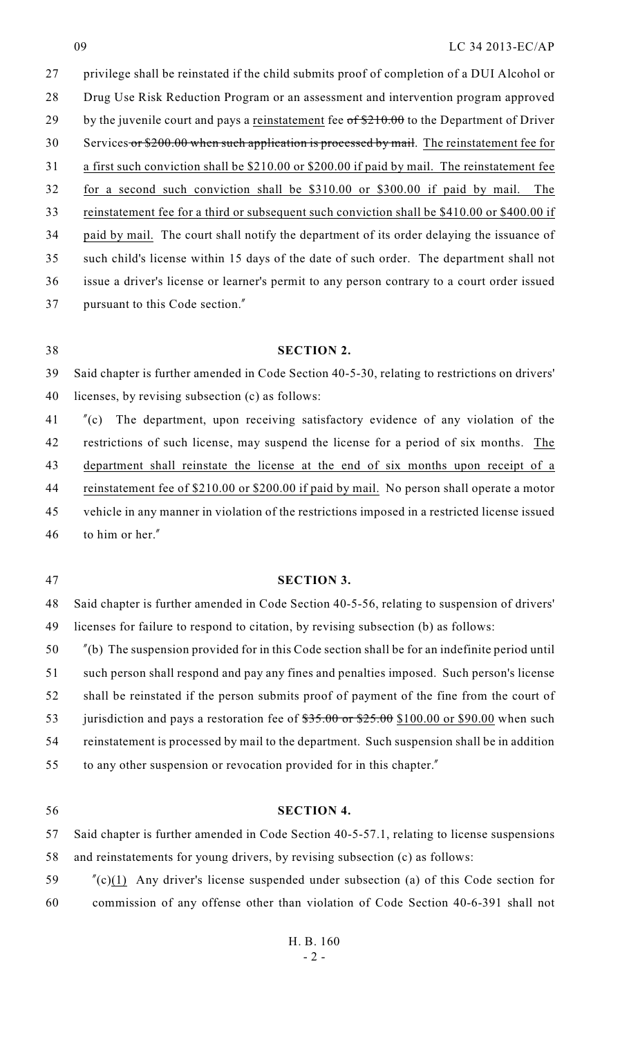privilege shall be reinstated if the child submits proof of completion of a DUI Alcohol or Drug Use Risk Reduction Program or an assessment and intervention program approved 29 by the juvenile court and pays a reinstatement fee  $\sigma f$  \$210.00 to the Department of Driver 30 Services or \$200.00 when such application is processed by mail. The reinstatement fee for a first such conviction shall be \$210.00 or \$200.00 if paid by mail. The reinstatement fee for a second such conviction shall be \$310.00 or \$300.00 if paid by mail. The reinstatement fee for a third or subsequent such conviction shall be \$410.00 or \$400.00 if paid by mail. The court shall notify the department of its order delaying the issuance of such child's license within 15 days of the date of such order. The department shall not issue a driver's license or learner's permit to any person contrary to a court order issued pursuant to this Code section."

#### **SECTION 2.**

 Said chapter is further amended in Code Section 40-5-30, relating to restrictions on drivers' licenses, by revising subsection (c) as follows:

 "(c) The department, upon receiving satisfactory evidence of any violation of the 42 restrictions of such license, may suspend the license for a period of six months. The department shall reinstate the license at the end of six months upon receipt of a 44 reinstatement fee of \$210.00 or \$200.00 if paid by mail. No person shall operate a motor vehicle in any manner in violation of the restrictions imposed in a restricted license issued to him or her."

## **SECTION 3.**

 Said chapter is further amended in Code Section 40-5-56, relating to suspension of drivers' licenses for failure to respond to citation, by revising subsection (b) as follows:

 "(b) The suspension provided for in this Code section shall be for an indefinite period until such person shall respond and pay any fines and penalties imposed. Such person's license shall be reinstated if the person submits proof of payment of the fine from the court of 53 jurisdiction and pays a restoration fee of  $$35.00$  or  $$25.00$  \$100.00 or \$90.00 when such reinstatement is processed by mail to the department. Such suspension shall be in addition to any other suspension or revocation provided for in this chapter."

#### **SECTION 4.**

 Said chapter is further amended in Code Section 40-5-57.1, relating to license suspensions and reinstatements for young drivers, by revising subsection (c) as follows:

 "(c)(1) Any driver's license suspended under subsection (a) of this Code section for commission of any offense other than violation of Code Section 40-6-391 shall not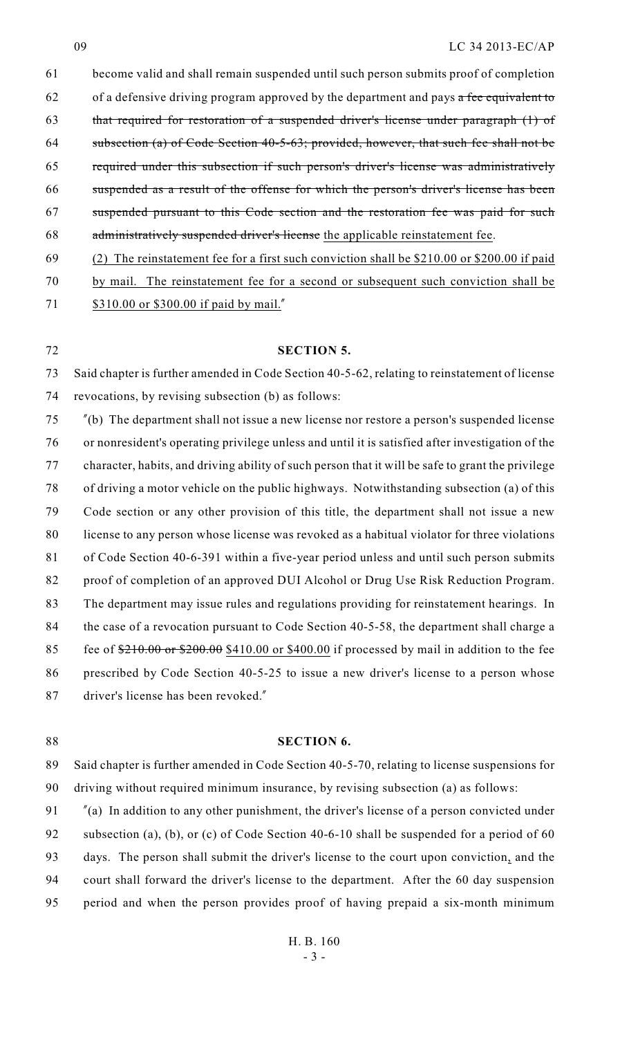#### LC 34 2013-EC/AP

 become valid and shall remain suspended until such person submits proof of completion 62 of a defensive driving program approved by the department and pays  $\alpha$  fee equivalent to that required for restoration of a suspended driver's license under paragraph (1) of subsection (a) of Code Section 40-5-63; provided, however, that such fee shall not be required under this subsection if such person's driver's license was administratively suspended as a result of the offense for which the person's driver's license has been suspended pursuant to this Code section and the restoration fee was paid for such administratively suspended driver's license the applicable reinstatement fee. (2) The reinstatement fee for a first such conviction shall be \$210.00 or \$200.00 if paid

by mail. The reinstatement fee for a second or subsequent such conviction shall be

71 \$310.00 or \$300.00 if paid by mail."

**SECTION 5.**

 Said chapter is further amended in Code Section 40-5-62, relating to reinstatement of license revocations, by revising subsection (b) as follows:

 "(b) The department shall not issue a new license nor restore a person's suspended license or nonresident's operating privilege unless and until it is satisfied after investigation of the character, habits, and driving ability of such person that it will be safe to grant the privilege of driving a motor vehicle on the public highways. Notwithstanding subsection (a) of this Code section or any other provision of this title, the department shall not issue a new license to any person whose license was revoked as a habitual violator for three violations of Code Section 40-6-391 within a five-year period unless and until such person submits proof of completion of an approved DUI Alcohol or Drug Use Risk Reduction Program. The department may issue rules and regulations providing for reinstatement hearings. In 84 the case of a revocation pursuant to Code Section 40-5-58, the department shall charge a 85 fee of  $\frac{$210.00 \text{ or } $200.00 $410.00 \text{ or } $400.00}$$  if processed by mail in addition to the fee prescribed by Code Section 40-5-25 to issue a new driver's license to a person whose driver's license has been revoked."

#### **SECTION 6.**

 Said chapter is further amended in Code Section 40-5-70, relating to license suspensions for driving without required minimum insurance, by revising subsection (a) as follows:

 "(a) In addition to any other punishment, the driver's license of a person convicted under 92 subsection (a), (b), or (c) of Code Section 40-6-10 shall be suspended for a period of 60 days. The person shall submit the driver's license to the court upon conviction, and the court shall forward the driver's license to the department. After the 60 day suspension period and when the person provides proof of having prepaid a six-month minimum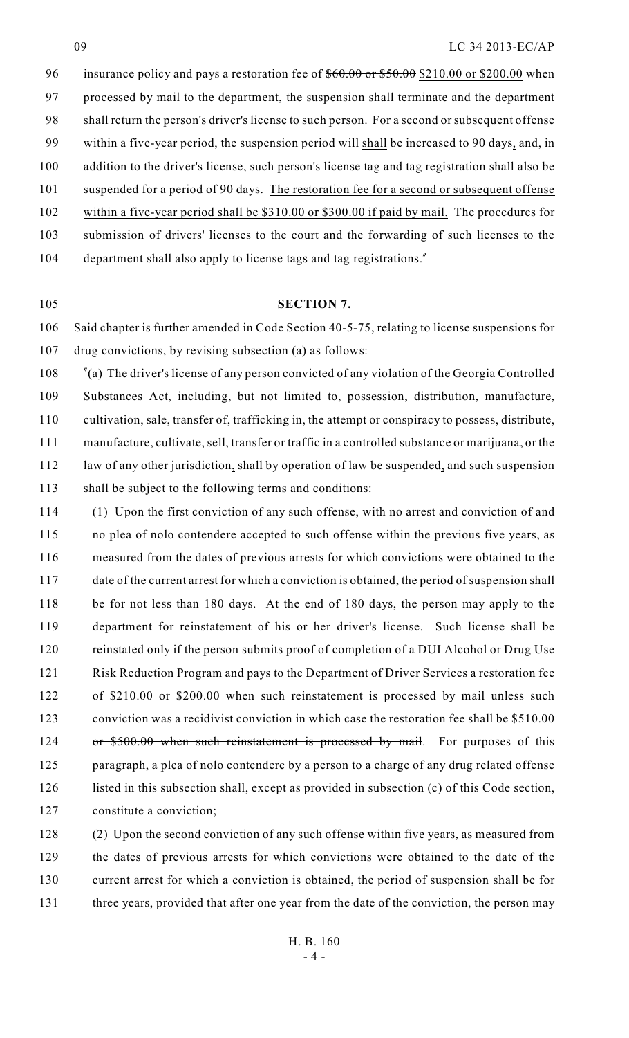96 insurance policy and pays a restoration fee of  $$60.00$  or \$50.00 \$210.00 or \$200.00 when processed by mail to the department, the suspension shall terminate and the department shall return the person's driver's license to such person. For a second or subsequent offense 99 within a five-year period, the suspension period will shall be increased to 90 days, and, in addition to the driver's license, such person's license tag and tag registration shall also be suspended for a period of 90 days. The restoration fee for a second or subsequent offense within a five-year period shall be \$310.00 or \$300.00 if paid by mail. The procedures for submission of drivers' licenses to the court and the forwarding of such licenses to the department shall also apply to license tags and tag registrations."

#### **SECTION 7.**

 Said chapter is further amended in Code Section 40-5-75, relating to license suspensions for drug convictions, by revising subsection (a) as follows:

 "(a) The driver's license of any person convicted of any violation of the Georgia Controlled Substances Act, including, but not limited to, possession, distribution, manufacture, cultivation, sale, transfer of, trafficking in, the attempt or conspiracy to possess, distribute, manufacture, cultivate, sell, transfer or traffic in a controlled substance or marijuana, or the 112 law of any other jurisdiction, shall by operation of law be suspended, and such suspension shall be subject to the following terms and conditions:

 (1) Upon the first conviction of any such offense, with no arrest and conviction of and no plea of nolo contendere accepted to such offense within the previous five years, as measured from the dates of previous arrests for which convictions were obtained to the date of the current arrest for which a conviction is obtained, the period of suspension shall be for not less than 180 days. At the end of 180 days, the person may apply to the department for reinstatement of his or her driver's license. Such license shall be reinstated only if the person submits proof of completion of a DUI Alcohol or Drug Use Risk Reduction Program and pays to the Department of Driver Services a restoration fee 122 of \$210.00 or \$200.00 when such reinstatement is processed by mail unless such 123 conviction was a recidivist conviction in which case the restoration fee shall be \$510.00 124 or \$500.00 when such reinstatement is processed by mail. For purposes of this paragraph, a plea of nolo contendere by a person to a charge of any drug related offense listed in this subsection shall, except as provided in subsection (c) of this Code section, constitute a conviction;

 (2) Upon the second conviction of any such offense within five years, as measured from the dates of previous arrests for which convictions were obtained to the date of the current arrest for which a conviction is obtained, the period of suspension shall be for 131 three years, provided that after one year from the date of the conviction, the person may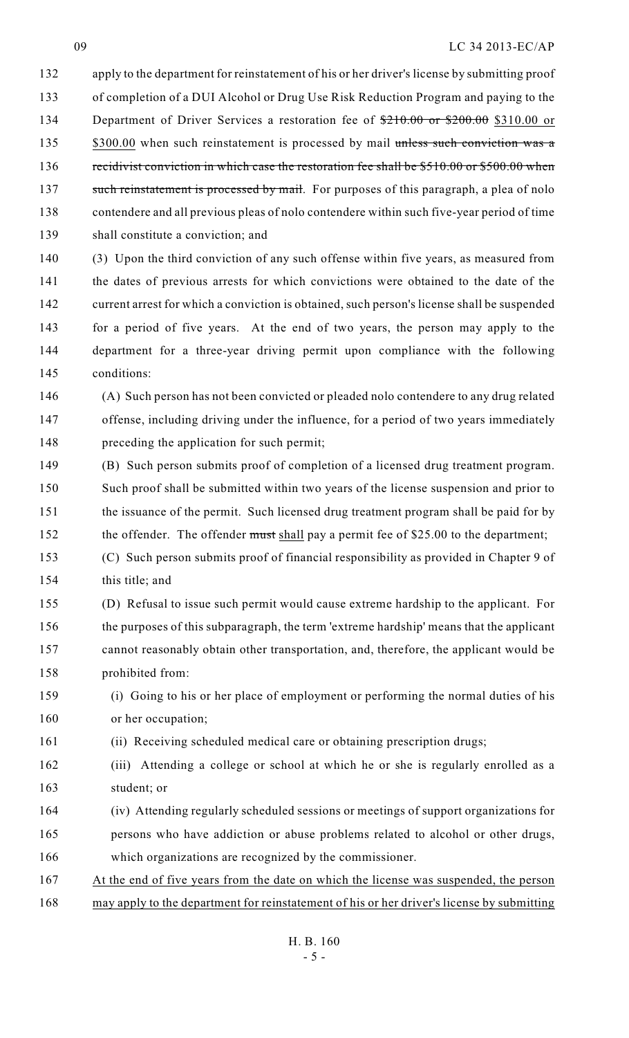## LC 34 2013-EC/AP

 apply to the department for reinstatement of his or her driver's license by submitting proof of completion of a DUI Alcohol or Drug Use Risk Reduction Program and paying to the 134 Department of Driver Services a restoration fee of  $\frac{$210.00}{210.00}$  or \$200.00 \$310.00 or 135 \$300.00 when such reinstatement is processed by mail unless such conviction was a 136 recidivist conviction in which case the restoration fee shall be \$510.00 or \$500.00 when 137 such reinstatement is processed by mail. For purposes of this paragraph, a plea of nolo contendere and all previous pleas of nolo contendere within such five-year period of time shall constitute a conviction; and

 (3) Upon the third conviction of any such offense within five years, as measured from the dates of previous arrests for which convictions were obtained to the date of the current arrest for which a conviction is obtained, such person's license shall be suspended for a period of five years. At the end of two years, the person may apply to the department for a three-year driving permit upon compliance with the following conditions:

 (A) Such person has not been convicted or pleaded nolo contendere to any drug related offense, including driving under the influence, for a period of two years immediately preceding the application for such permit;

 (B) Such person submits proof of completion of a licensed drug treatment program. Such proof shall be submitted within two years of the license suspension and prior to the issuance of the permit. Such licensed drug treatment program shall be paid for by 152 the offender. The offender must shall pay a permit fee of \$25.00 to the department;

 (C) Such person submits proof of financial responsibility as provided in Chapter 9 of this title; and

 (D) Refusal to issue such permit would cause extreme hardship to the applicant. For the purposes of this subparagraph, the term 'extreme hardship' means that the applicant cannot reasonably obtain other transportation, and, therefore, the applicant would be prohibited from:

 (i) Going to his or her place of employment or performing the normal duties of his or her occupation;

(ii) Receiving scheduled medical care or obtaining prescription drugs;

 (iii) Attending a college or school at which he or she is regularly enrolled as a student; or

- (iv) Attending regularly scheduled sessions or meetings of support organizations for persons who have addiction or abuse problems related to alcohol or other drugs, which organizations are recognized by the commissioner.
- At the end of five years from the date on which the license was suspended, the person may apply to the department for reinstatement of his or her driver's license by submitting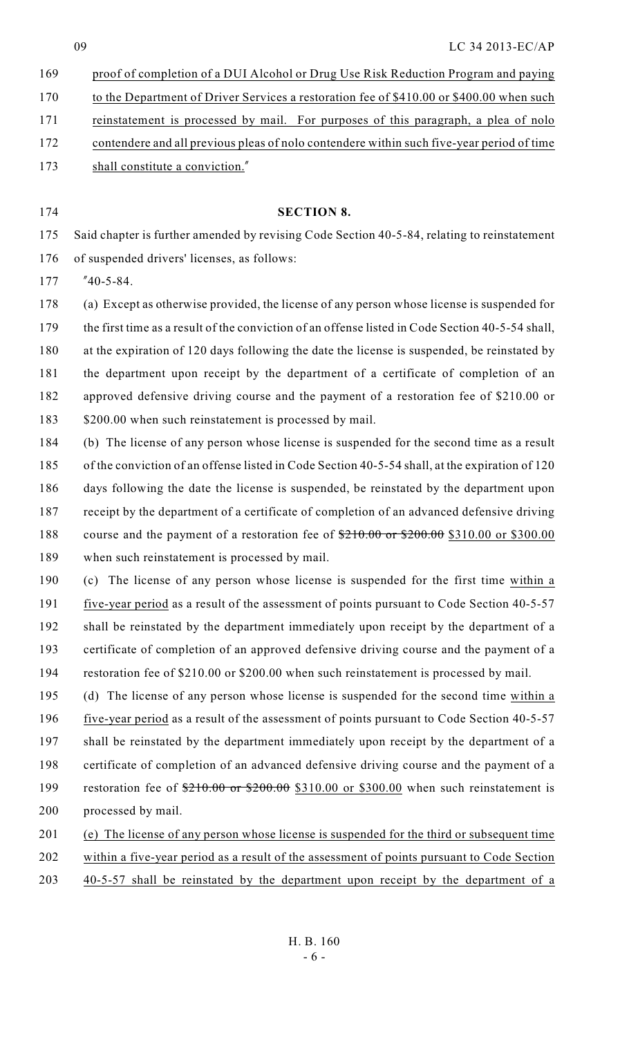proof of completion of a DUI Alcohol or Drug Use Risk Reduction Program and paying to the Department of Driver Services a restoration fee of \$410.00 or \$400.00 when such reinstatement is processed by mail. For purposes of this paragraph, a plea of nolo contendere and all previous pleas of nolo contendere within such five-year period of time 173 shall constitute a conviction."

#### **SECTION 8.**

 Said chapter is further amended by revising Code Section 40-5-84, relating to reinstatement of suspended drivers' licenses, as follows:

"40-5-84.

 (a) Except as otherwise provided, the license of any person whose license is suspended for 179 the first time as a result of the conviction of an offense listed in Code Section 40-5-54 shall, at the expiration of 120 days following the date the license is suspended, be reinstated by the department upon receipt by the department of a certificate of completion of an approved defensive driving course and the payment of a restoration fee of \$210.00 or 183 \$200.00 when such reinstatement is processed by mail.

- (b) The license of any person whose license is suspended for the second time as a result of the conviction of an offense listed in Code Section 40-5-54 shall, at the expiration of 120 days following the date the license is suspended, be reinstated by the department upon receipt by the department of a certificate of completion of an advanced defensive driving 188 course and the payment of a restoration fee of  $\frac{$210.00}{210.00}$  or \$310.00 or \$300.00 when such reinstatement is processed by mail.
- (c) The license of any person whose license is suspended for the first time within a five-year period as a result of the assessment of points pursuant to Code Section 40-5-57 shall be reinstated by the department immediately upon receipt by the department of a certificate of completion of an approved defensive driving course and the payment of a restoration fee of \$210.00 or \$200.00 when such reinstatement is processed by mail.
- (d) The license of any person whose license is suspended for the second time within a five-year period as a result of the assessment of points pursuant to Code Section 40-5-57 shall be reinstated by the department immediately upon receipt by the department of a certificate of completion of an advanced defensive driving course and the payment of a 199 restoration fee of  $\frac{$210.00}{200.00}$  or \$310.00 or \$300.00 when such reinstatement is processed by mail.
- (e) The license of any person whose license is suspended for the third or subsequent time
- within a five-year period as a result of the assessment of points pursuant to Code Section
- 40-5-57 shall be reinstated by the department upon receipt by the department of a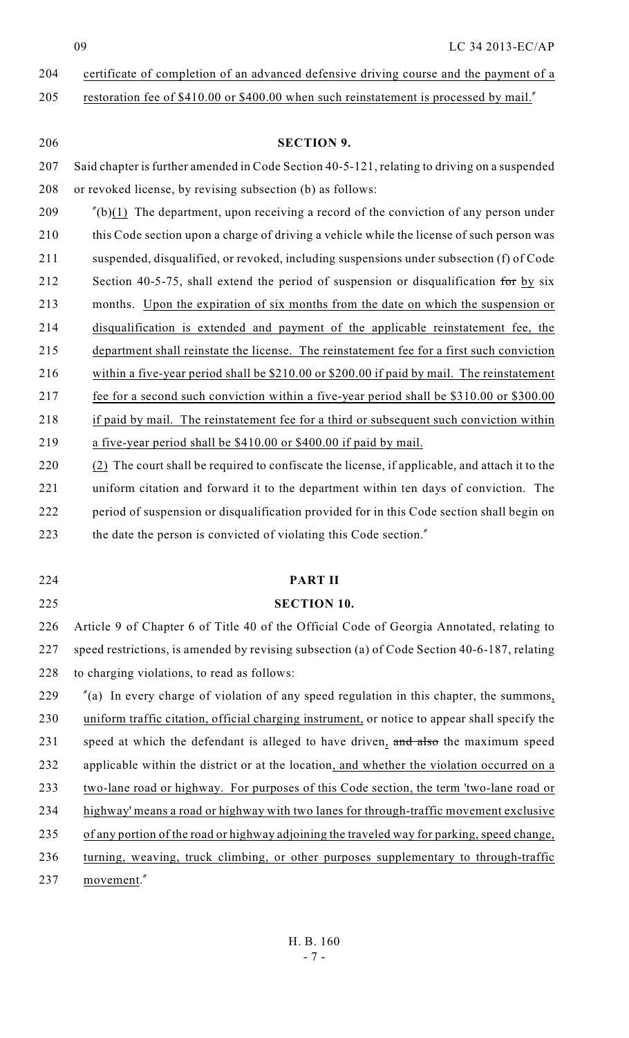# 204 certificate of completion of an advanced defensive driving course and the payment of a

205 restoration fee of \$410.00 or \$400.00 when such reinstatement is processed by mail."

| 206 | <b>SECTION 9.</b>                                                                               |
|-----|-------------------------------------------------------------------------------------------------|
| 207 | Said chapter is further amended in Code Section 40-5-121, relating to driving on a suspended    |
| 208 | or revoked license, by revising subsection (b) as follows:                                      |
| 209 | $''(b)(1)$ The department, upon receiving a record of the conviction of any person under        |
| 210 | this Code section upon a charge of driving a vehicle while the license of such person was       |
| 211 | suspended, disqualified, or revoked, including suspensions under subsection (f) of Code         |
| 212 | Section 40-5-75, shall extend the period of suspension or disqualification for by six           |
| 213 | months. Upon the expiration of six months from the date on which the suspension or              |
| 214 | disqualification is extended and payment of the applicable reinstatement fee, the               |
| 215 | department shall reinstate the license. The reinstatement fee for a first such conviction       |
| 216 | within a five-year period shall be \$210.00 or \$200.00 if paid by mail. The reinstatement      |
| 217 | fee for a second such conviction within a five-year period shall be \$310.00 or \$300.00        |
| 218 | if paid by mail. The reinstatement fee for a third or subsequent such conviction within         |
| 219 | a five-year period shall be \$410.00 or \$400.00 if paid by mail.                               |
| 220 | (2) The court shall be required to confiscate the license, if applicable, and attach it to the  |
| 221 | uniform citation and forward it to the department within ten days of conviction. The            |
| 222 | period of suspension or disqualification provided for in this Code section shall begin on       |
| 223 | the date the person is convicted of violating this Code section."                               |
|     |                                                                                                 |
| 224 | <b>PART II</b>                                                                                  |
| 225 | <b>SECTION 10.</b>                                                                              |
| 226 | Article 9 of Chapter 6 of Title 40 of the Official Code of Georgia Annotated, relating to       |
| 227 | speed restrictions, is amended by revising subsection (a) of Code Section 40-6-187, relating    |
| 228 | to charging violations, to read as follows:                                                     |
| 229 | $\alpha$ (a) In every charge of violation of any speed regulation in this chapter, the summons, |
| 230 | uniform traffic citation, official charging instrument, or notice to appear shall specify the   |
| 231 | speed at which the defendant is alleged to have driven, and also the maximum speed              |
| 232 | applicable within the district or at the location, and whether the violation occurred on a      |
| 233 | two-lane road or highway. For purposes of this Code section, the term 'two-lane road or         |
| 234 | highway' means a road or highway with two lanes for through-traffic movement exclusive          |
| 235 | of any portion of the road or highway adjoining the traveled way for parking, speed change,     |
| 236 | turning, weaving, truck climbing, or other purposes supplementary to through-traffic            |
| 237 | movement."                                                                                      |